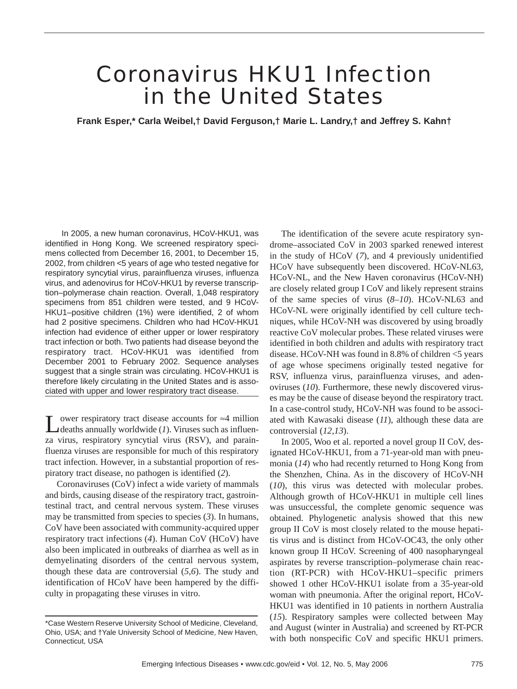# Coronavirus HKU1 Infection in the United States

**Frank Esper,\* Carla Weibel,† David Ferguson,† Marie L. Landry,† and Jeffrey S. Kahn†**

In 2005, a new human coronavirus, HCoV-HKU1, was identified in Hong Kong. We screened respiratory specimens collected from December 16, 2001, to December 15, 2002, from children <5 years of age who tested negative for respiratory syncytial virus, parainfluenza viruses, influenza virus, and adenovirus for HCoV-HKU1 by reverse transcription–polymerase chain reaction. Overall, 1,048 respiratory specimens from 851 children were tested, and 9 HCoV-HKU1–positive children (1%) were identified, 2 of whom had 2 positive specimens. Children who had HCoV-HKU1 infection had evidence of either upper or lower respiratory tract infection or both. Two patients had disease beyond the respiratory tract. HCoV-HKU1 was identified from December 2001 to February 2002. Sequence analyses suggest that a single strain was circulating. HCoV-HKU1 is therefore likely circulating in the United States and is associated with upper and lower respiratory tract disease.

ower respiratory tract disease accounts for  $\approx$ 4 million deaths annually worldwide (*1*). Viruses such as influenza virus, respiratory syncytial virus (RSV), and parainfluenza viruses are responsible for much of this respiratory tract infection. However, in a substantial proportion of respiratory tract disease, no pathogen is identified (*2*).

Coronaviruses (CoV) infect a wide variety of mammals and birds, causing disease of the respiratory tract, gastrointestinal tract, and central nervous system. These viruses may be transmitted from species to species (*3*). In humans, CoV have been associated with community-acquired upper respiratory tract infections (*4*). Human CoV (HCoV) have also been implicated in outbreaks of diarrhea as well as in demyelinating disorders of the central nervous system, though these data are controversial (*5,6*). The study and identification of HCoV have been hampered by the difficulty in propagating these viruses in vitro.

The identification of the severe acute respiratory syndrome–associated CoV in 2003 sparked renewed interest in the study of HCoV (*7*), and 4 previously unidentified HCoV have subsequently been discovered. HCoV-NL63, HCoV-NL, and the New Haven coronavirus (HCoV-NH) are closely related group I CoV and likely represent strains of the same species of virus (*8–10*). HCoV-NL63 and HCoV-NL were originally identified by cell culture techniques, while HCoV-NH was discovered by using broadly reactive CoV molecular probes. These related viruses were identified in both children and adults with respiratory tract disease. HCoV-NH was found in 8.8% of children <5 years of age whose specimens originally tested negative for RSV, influenza virus, parainfluenza viruses, and adenoviruses (*10*). Furthermore, these newly discovered viruses may be the cause of disease beyond the respiratory tract. In a case-control study, HCoV-NH was found to be associated with Kawasaki disease (*11*), although these data are controversial (*12,13*).

In 2005, Woo et al. reported a novel group II CoV, designated HCoV-HKU1, from a 71-year-old man with pneumonia (*14*) who had recently returned to Hong Kong from the Shenzhen, China. As in the discovery of HCoV-NH (*10*), this virus was detected with molecular probes. Although growth of HCoV-HKU1 in multiple cell lines was unsuccessful, the complete genomic sequence was obtained. Phylogenetic analysis showed that this new group II CoV is most closely related to the mouse hepatitis virus and is distinct from HCoV-OC43, the only other known group II HCoV. Screening of 400 nasopharyngeal aspirates by reverse transcription–polymerase chain reaction (RT-PCR) with HCoV-HKU1–specific primers showed 1 other HCoV-HKU1 isolate from a 35-year-old woman with pneumonia. After the original report, HCoV-HKU1 was identified in 10 patients in northern Australia (*15*). Respiratory samples were collected between May and August (winter in Australia) and screened by RT-PCR with both nonspecific CoV and specific HKU1 primers.

<sup>\*</sup>Case Western Reserve University School of Medicine, Cleveland, Ohio, USA; and †Yale University School of Medicine, New Haven, Connecticut, USA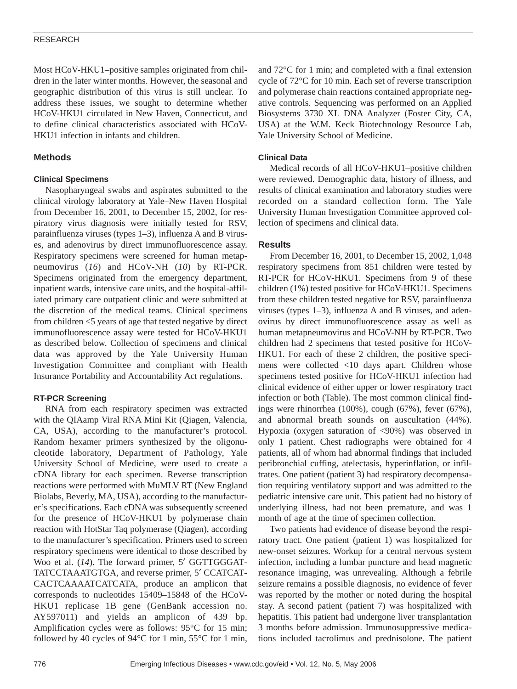## RESEARCH

Most HCoV-HKU1–positive samples originated from children in the later winter months. However, the seasonal and geographic distribution of this virus is still unclear. To address these issues, we sought to determine whether HCoV-HKU1 circulated in New Haven, Connecticut, and to define clinical characteristics associated with HCoV-HKU1 infection in infants and children.

# **Methods**

## **Clinical Specimens**

Nasopharyngeal swabs and aspirates submitted to the clinical virology laboratory at Yale–New Haven Hospital from December 16, 2001, to December 15, 2002, for respiratory virus diagnosis were initially tested for RSV, parainfluenza viruses (types 1–3), influenza A and B viruses, and adenovirus by direct immunofluorescence assay. Respiratory specimens were screened for human metapneumovirus (*16*) and HCoV-NH (*10*) by RT-PCR. Specimens originated from the emergency department, inpatient wards, intensive care units, and the hospital-affiliated primary care outpatient clinic and were submitted at the discretion of the medical teams. Clinical specimens from children <5 years of age that tested negative by direct immunofluorescence assay were tested for HCoV-HKU1 as described below. Collection of specimens and clinical data was approved by the Yale University Human Investigation Committee and compliant with Health Insurance Portability and Accountability Act regulations.

## **RT-PCR Screening**

RNA from each respiratory specimen was extracted with the QIAamp Viral RNA Mini Kit (Qiagen, Valencia, CA, USA), according to the manufacturer's protocol. Random hexamer primers synthesized by the oligonucleotide laboratory, Department of Pathology, Yale University School of Medicine, were used to create a cDNA library for each specimen. Reverse transcription reactions were performed with MuMLV RT (New England Biolabs, Beverly, MA, USA), according to the manufacturer's specifications. Each cDNA was subsequently screened for the presence of HCoV-HKU1 by polymerase chain reaction with HotStar Taq polymerase (Qiagen), according to the manufacturer's specification. Primers used to screen respiratory specimens were identical to those described by Woo et al. (14). The forward primer, 5' GGTTGGGAT-TATCCTAAATGTGA, and reverse primer, 5′ CCATCAT-CACTCAAAATCATCATA, produce an amplicon that corresponds to nucleotides 15409–15848 of the HCoV-HKU1 replicase 1B gene (GenBank accession no. AY597011) and yields an amplicon of 439 bp. Amplification cycles were as follows: 95°C for 15 min; followed by 40 cycles of 94°C for 1 min, 55°C for 1 min,

and 72°C for 1 min; and completed with a final extension cycle of 72°C for 10 min. Each set of reverse transcription and polymerase chain reactions contained appropriate negative controls. Sequencing was performed on an Applied Biosystems 3730 XL DNA Analyzer (Foster City, CA, USA) at the W.M. Keck Biotechnology Resource Lab, Yale University School of Medicine.

## **Clinical Data**

Medical records of all HCoV-HKU1–positive children were reviewed. Demographic data, history of illness, and results of clinical examination and laboratory studies were recorded on a standard collection form. The Yale University Human Investigation Committee approved collection of specimens and clinical data.

# **Results**

From December 16, 2001, to December 15, 2002, 1,048 respiratory specimens from 851 children were tested by RT-PCR for HCoV-HKU1. Specimens from 9 of these children (1%) tested positive for HCoV-HKU1. Specimens from these children tested negative for RSV, parainfluenza viruses (types 1–3), influenza A and B viruses, and adenovirus by direct immunofluorescence assay as well as human metapneumovirus and HCoV-NH by RT-PCR. Two children had 2 specimens that tested positive for HCoV-HKU1. For each of these 2 children, the positive specimens were collected <10 days apart. Children whose specimens tested positive for HCoV-HKU1 infection had clinical evidence of either upper or lower respiratory tract infection or both (Table). The most common clinical findings were rhinorrhea (100%), cough (67%), fever (67%), and abnormal breath sounds on auscultation (44%). Hypoxia (oxygen saturation of <90%) was observed in only 1 patient. Chest radiographs were obtained for 4 patients, all of whom had abnormal findings that included peribronchial cuffing, atelectasis, hyperinflation, or infiltrates. One patient (patient 3) had respiratory decompensation requiring ventilatory support and was admitted to the pediatric intensive care unit. This patient had no history of underlying illness, had not been premature, and was 1 month of age at the time of specimen collection.

Two patients had evidence of disease beyond the respiratory tract. One patient (patient 1) was hospitalized for new-onset seizures. Workup for a central nervous system infection, including a lumbar puncture and head magnetic resonance imaging, was unrevealing. Although a febrile seizure remains a possible diagnosis, no evidence of fever was reported by the mother or noted during the hospital stay. A second patient (patient 7) was hospitalized with hepatitis. This patient had undergone liver transplantation 3 months before admission. Immunosuppressive medications included tacrolimus and prednisolone. The patient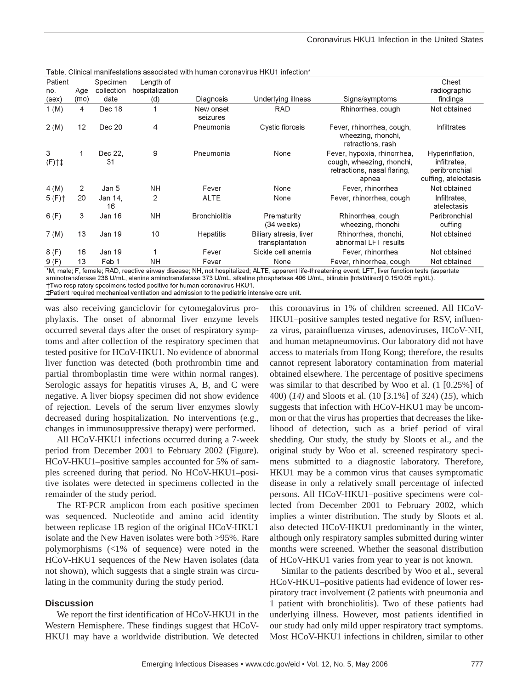| , uvic. omnourn                                                                                                                                      |      |                        |                              |                       |                                           |                                                                                                  |                                                                          |
|------------------------------------------------------------------------------------------------------------------------------------------------------|------|------------------------|------------------------------|-----------------------|-------------------------------------------|--------------------------------------------------------------------------------------------------|--------------------------------------------------------------------------|
| Patient<br>no.                                                                                                                                       | Age  | Specimen<br>collection | Length of<br>hospitalization |                       |                                           |                                                                                                  | Chest<br>radiographic                                                    |
| (sex)                                                                                                                                                | (mo) | date                   | (d)                          | Diagnosis             | Underlying illness                        | Signs/symptoms                                                                                   | findings                                                                 |
| $1 \, (M)$                                                                                                                                           | 4    | Dec 18                 |                              | New onset<br>seizures | RAD                                       | Rhinorrhea, cough                                                                                | Not obtained                                                             |
| 2(M)                                                                                                                                                 | 12   | Dec 20                 | 4                            | Pneumonia             | Cystic fibrosis                           | Fever, rhinorrhea, cough,<br>wheezing, rhonchi,<br>retractions, rash                             | Infiltrates                                                              |
| 3<br>$(F)$ †‡                                                                                                                                        | 1    | Dec 22.<br>31          | 9                            | Pneumonia             | None                                      | Fever, hypoxia, rhinorrhea,<br>cough, wheezing, rhonchi,<br>retractions, nasal flaring,<br>apnea | Hyperinflation,<br>infiltrates.<br>peribronchial<br>cuffing, atelectasis |
| 4(M)                                                                                                                                                 | 2    | Jan 5                  | NΗ                           | Fever                 | None                                      | Fever, rhinorrhea                                                                                | Not obtained                                                             |
| 5(F)                                                                                                                                                 | 20   | Jan 14,<br>16          | 2                            | <b>ALTE</b>           | None                                      | Fever, rhinorrhea, cough                                                                         | Infiltrates,<br>atelectasis                                              |
| 6(F)                                                                                                                                                 | 3    | Jan 16                 | NΗ                           | <b>Bronchiolitis</b>  | Prematurity<br>$(34$ weeks)               | Rhinorrhea, cough,<br>wheezing, rhonchi                                                          | Peribronchial<br>cuffing                                                 |
| 7 (M)                                                                                                                                                | 13   | Jan 19                 | 10                           | Hepatitis             | Biliary atresia, liver<br>transplantation | Rhinorrhea, rhonchi,<br>abnormal LFT results                                                     | Not obtained                                                             |
| 8(F)                                                                                                                                                 | 16   | Jan 19                 |                              | Fever                 | Sickle cell anemia                        | Fever, rhinorrhea                                                                                | Not obtained                                                             |
| 9(F)                                                                                                                                                 | 13   | Feb 1                  | NΗ                           | Fever                 | None                                      | Fever, rhinorrhea, cough                                                                         | Not obtained                                                             |
| *M, male; F, female; RAD, reactive airway disease; NH, not hospitalized; ALTE, apparent life-threatening event; LFT, liver function tests (aspartate |      |                        |                              |                       |                                           |                                                                                                  |                                                                          |

Table. Clinical manifestations associated with buman coronavirus HKU1 infection\*

aminotransferase 238 U/mL, alanine aminotransferase 373 U/mL, alkaline phosphatase 406 U/mL, bilirubin [total/direct] 0.15/0.05 mg/dL). †Two respiratory specimens tested positive for human coronavirus HKU1.

‡Patient required mechanical ventilation and admission to the pediatric intensive care unit.

was also receiving ganciclovir for cytomegalovirus prophylaxis. The onset of abnormal liver enzyme levels occurred several days after the onset of respiratory symptoms and after collection of the respiratory specimen that tested positive for HCoV-HKU1. No evidence of abnormal liver function was detected (both prothrombin time and partial thromboplastin time were within normal ranges). Serologic assays for hepatitis viruses A, B, and C were negative. A liver biopsy specimen did not show evidence of rejection. Levels of the serum liver enzymes slowly decreased during hospitalization. No interventions (e.g., changes in immunosuppressive therapy) were performed.

All HCoV-HKU1 infections occurred during a 7-week period from December 2001 to February 2002 (Figure). HCoV-HKU1–positive samples accounted for 5% of samples screened during that period. No HCoV-HKU1–positive isolates were detected in specimens collected in the remainder of the study period.

The RT-PCR amplicon from each positive specimen was sequenced. Nucleotide and amino acid identity between replicase 1B region of the original HCoV-HKU1 isolate and the New Haven isolates were both >95%. Rare polymorphisms (<1% of sequence) were noted in the HCoV-HKU1 sequences of the New Haven isolates (data not shown), which suggests that a single strain was circulating in the community during the study period.

#### **Discussion**

We report the first identification of HCoV-HKU1 in the Western Hemisphere. These findings suggest that HCoV-HKU1 may have a worldwide distribution. We detected

this coronavirus in 1% of children screened. All HCoV-HKU1–positive samples tested negative for RSV, influenza virus, parainfluenza viruses, adenoviruses, HCoV-NH, and human metapneumovirus. Our laboratory did not have access to materials from Hong Kong; therefore, the results cannot represent laboratory contamination from material obtained elsewhere. The percentage of positive specimens was similar to that described by Woo et al. (1 [0.25%] of 400) (*14)* and Sloots et al. (10 [3.1%] of 324) (*15*), which suggests that infection with HCoV-HKU1 may be uncommon or that the virus has properties that decreases the likelihood of detection, such as a brief period of viral shedding. Our study, the study by Sloots et al., and the original study by Woo et al. screened respiratory specimens submitted to a diagnostic laboratory. Therefore, HKU1 may be a common virus that causes symptomatic disease in only a relatively small percentage of infected persons. All HCoV-HKU1–positive specimens were collected from December 2001 to February 2002, which implies a winter distribution. The study by Sloots et al. also detected HCoV-HKU1 predominantly in the winter, although only respiratory samples submitted during winter months were screened. Whether the seasonal distribution of HCoV-HKU1 varies from year to year is not known.

Similar to the patients described by Woo et al., several HCoV-HKU1–positive patients had evidence of lower respiratory tract involvement (2 patients with pneumonia and 1 patient with bronchiolitis). Two of these patients had underlying illness. However, most patients identified in our study had only mild upper respiratory tract symptoms. Most HCoV-HKU1 infections in children, similar to other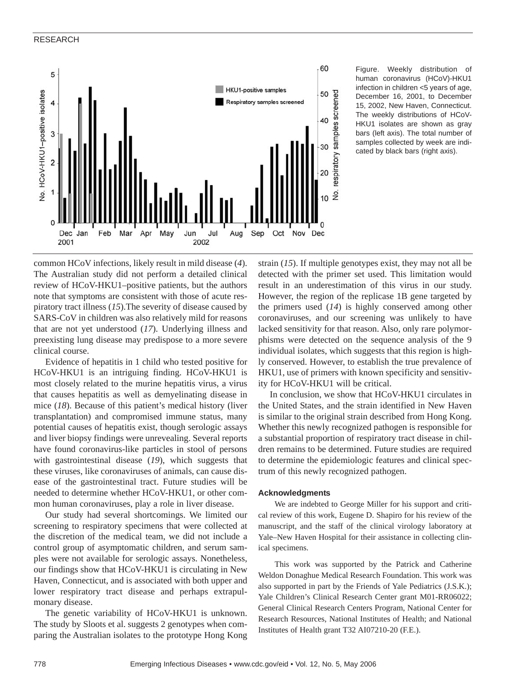### RESEARCH



Figure. Weekly distribution of human coronavirus (HCoV)-HKU1 infection in children <5 years of age, December 16, 2001, to December 15, 2002, New Haven, Connecticut. The weekly distributions of HCoV-HKU1 isolates are shown as gray bars (left axis). The total number of samples collected by week are indicated by black bars (right axis).

common HCoV infections, likely result in mild disease (*4*). The Australian study did not perform a detailed clinical review of HCoV-HKU1–positive patients, but the authors note that symptoms are consistent with those of acute respiratory tract illness (*15*).The severity of disease caused by SARS-CoV in children was also relatively mild for reasons that are not yet understood (*17*). Underlying illness and preexisting lung disease may predispose to a more severe clinical course.

Evidence of hepatitis in 1 child who tested positive for HCoV-HKU1 is an intriguing finding. HCoV-HKU1 is most closely related to the murine hepatitis virus, a virus that causes hepatitis as well as demyelinating disease in mice (*18*). Because of this patient's medical history (liver transplantation) and compromised immune status, many potential causes of hepatitis exist, though serologic assays and liver biopsy findings were unrevealing. Several reports have found coronavirus-like particles in stool of persons with gastrointestinal disease (*19*), which suggests that these viruses, like coronaviruses of animals, can cause disease of the gastrointestinal tract. Future studies will be needed to determine whether HCoV-HKU1, or other common human coronaviruses, play a role in liver disease.

Our study had several shortcomings. We limited our screening to respiratory specimens that were collected at the discretion of the medical team, we did not include a control group of asymptomatic children, and serum samples were not available for serologic assays. Nonetheless, our findings show that HCoV-HKU1 is circulating in New Haven, Connecticut, and is associated with both upper and lower respiratory tract disease and perhaps extrapulmonary disease.

The genetic variability of HCoV-HKU1 is unknown. The study by Sloots et al. suggests 2 genotypes when comparing the Australian isolates to the prototype Hong Kong

strain (*15*). If multiple genotypes exist, they may not all be detected with the primer set used. This limitation would result in an underestimation of this virus in our study. However, the region of the replicase 1B gene targeted by the primers used (*14*) is highly conserved among other coronaviruses, and our screening was unlikely to have lacked sensitivity for that reason. Also, only rare polymorphisms were detected on the sequence analysis of the 9 individual isolates, which suggests that this region is highly conserved. However, to establish the true prevalence of HKU1, use of primers with known specificity and sensitivity for HCoV-HKU1 will be critical.

In conclusion, we show that HCoV-HKU1 circulates in the United States, and the strain identified in New Haven is similar to the original strain described from Hong Kong. Whether this newly recognized pathogen is responsible for a substantial proportion of respiratory tract disease in children remains to be determined. Future studies are required to determine the epidemiologic features and clinical spectrum of this newly recognized pathogen.

#### **Acknowledgments**

We are indebted to George Miller for his support and critical review of this work, Eugene D. Shapiro for his review of the manuscript, and the staff of the clinical virology laboratory at Yale–New Haven Hospital for their assistance in collecting clinical specimens.

This work was supported by the Patrick and Catherine Weldon Donaghue Medical Research Foundation. This work was also supported in part by the Friends of Yale Pediatrics (J.S.K.); Yale Children's Clinical Research Center grant M01-RR06022; General Clinical Research Centers Program, National Center for Research Resources, National Institutes of Health; and National Institutes of Health grant T32 AI07210-20 (F.E.).